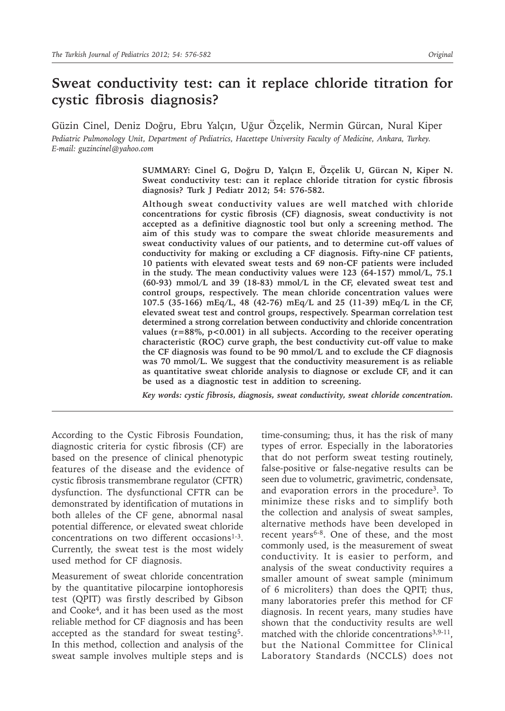# **Sweat conductivity test: can it replace chloride titration for cystic fibrosis diagnosis?**

Güzin Cinel, Deniz Doğru, Ebru Yalçın, Uğur Özçelik, Nermin Gürcan, Nural Kiper *Pediatric Pulmonology Unit, Department of Pediatrics, Hacettepe University Faculty of Medicine, Ankara, Turkey. E-mail: guzincinel@yahoo.com*

> **SUMMARY: Cinel G, Doğru D, Yalçın E, Özçelik U, Gürcan N, Kiper N. Sweat conductivity test: can it replace chloride titration for cystic fibrosis diagnosis? Turk J Pediatr 2012; 54: 576-582.**

> **Although sweat conductivity values are well matched with chloride concentrations for cystic fibrosis (CF) diagnosis, sweat conductivity is not accepted as a definitive diagnostic tool but only a screening method. The aim of this study was to compare the sweat chloride measurements and sweat conductivity values of our patients, and to determine cut-off values of conductivity for making or excluding a CF diagnosis. Fifty-nine CF patients, 10 patients with elevated sweat tests and 69 non-CF patients were included in the study. The mean conductivity values were 123 (64-157) mmol/L, 75.1 (60-93) mmol/L and 39 (18-83) mmol/L in the CF, elevated sweat test and control groups, respectively. The mean chloride concentration values were 107.5 (35-166) mEq/L, 48 (42-76) mEq/L and 25 (11-39) mEq/L in the CF, elevated sweat test and control groups, respectively. Spearman correlation test determined a strong correlation between conductivity and chloride concentration values (r=88%, p<0.001) in all subjects. According to the receiver operating characteristic (ROC) curve graph, the best conductivity cut-off value to make the CF diagnosis was found to be 90 mmol/L and to exclude the CF diagnosis was 70 mmol/L. We suggest that the conductivity measurement is as reliable as quantitative sweat chloride analysis to diagnose or exclude CF, and it can be used as a diagnostic test in addition to screening.**

> *Key words: cystic fibrosis, diagnosis, sweat conductivity, sweat chloride concentration.*

According to the Cystic Fibrosis Foundation, diagnostic criteria for cystic fibrosis (CF) are based on the presence of clinical phenotypic features of the disease and the evidence of cystic fibrosis transmembrane regulator (CFTR) dysfunction. The dysfunctional CFTR can be demonstrated by identification of mutations in both alleles of the CF gene, abnormal nasal potential difference, or elevated sweat chloride concentrations on two different occasions<sup>1-3</sup>. Currently, the sweat test is the most widely used method for CF diagnosis.

Measurement of sweat chloride concentration by the quantitative pilocarpine iontophoresis test (QPIT) was firstly described by Gibson and Cooke4, and it has been used as the most reliable method for CF diagnosis and has been accepted as the standard for sweat testing<sup>5</sup>. In this method, collection and analysis of the sweat sample involves multiple steps and is

time-consuming; thus, it has the risk of many types of error. Especially in the laboratories that do not perform sweat testing routinely, false-positive or false-negative results can be seen due to volumetric, gravimetric, condensate, and evaporation errors in the procedure<sup>3</sup>. To minimize these risks and to simplify both the collection and analysis of sweat samples, alternative methods have been developed in recent years<sup>6-8</sup>. One of these, and the most commonly used, is the measurement of sweat conductivity. It is easier to perform, and analysis of the sweat conductivity requires a smaller amount of sweat sample (minimum of 6 microliters) than does the QPIT; thus, many laboratories prefer this method for CF diagnosis. In recent years, many studies have shown that the conductivity results are well matched with the chloride concentrations $3,9-11$ , but the National Committee for Clinical Laboratory Standards (NCCLS) does not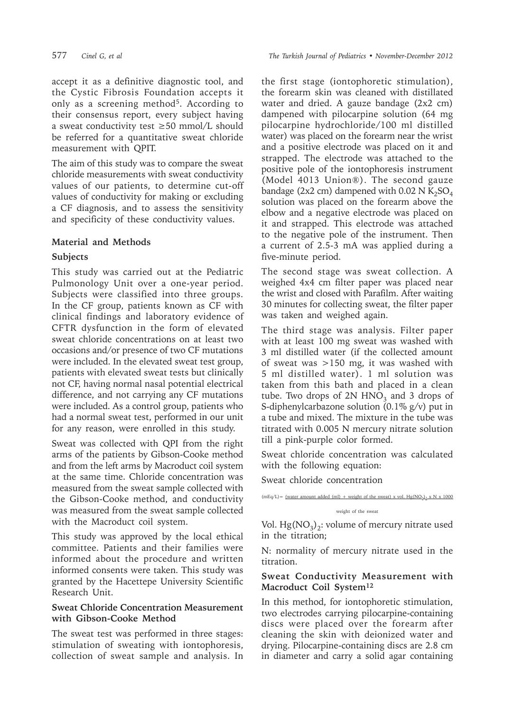accept it as a definitive diagnostic tool, and the Cystic Fibrosis Foundation accepts it only as a screening method<sup>5</sup>. According to their consensus report, every subject having a sweat conductivity test ≥50 mmol/L should be referred for a quantitative sweat chloride measurement with QPIT.

The aim of this study was to compare the sweat chloride measurements with sweat conductivity values of our patients, to determine cut-off values of conductivity for making or excluding a CF diagnosis, and to assess the sensitivity and specificity of these conductivity values.

# **Material and Methods**

# **Subjects**

This study was carried out at the Pediatric Pulmonology Unit over a one-year period. Subjects were classified into three groups. In the CF group, patients known as CF with clinical findings and laboratory evidence of CFTR dysfunction in the form of elevated sweat chloride concentrations on at least two occasions and/or presence of two CF mutations were included. In the elevated sweat test group, patients with elevated sweat tests but clinically not CF, having normal nasal potential electrical difference, and not carrying any CF mutations were included. As a control group, patients who had a normal sweat test, performed in our unit for any reason, were enrolled in this study.

Sweat was collected with QPI from the right arms of the patients by Gibson-Cooke method and from the left arms by Macroduct coil system at the same time. Chloride concentration was measured from the sweat sample collected with the Gibson-Cooke method, and conductivity was measured from the sweat sample collected with the Macroduct coil system.

This study was approved by the local ethical committee. Patients and their families were informed about the procedure and written informed consents were taken. This study was granted by the Hacettepe University Scientific Research Unit.

# **Sweat Chloride Concentration Measurement with Gibson-Cooke Method**

The sweat test was performed in three stages: stimulation of sweating with iontophoresis, collection of sweat sample and analysis. In the first stage (iontophoretic stimulation), the forearm skin was cleaned with distillated water and dried. A gauze bandage (2x2 cm) dampened with pilocarpine solution (64 mg pilocarpine hydrochloride/100 ml distilled water) was placed on the forearm near the wrist and a positive electrode was placed on it and strapped. The electrode was attached to the positive pole of the iontophoresis instrument (Model 4013 Union®). The second gauze bandage (2x2 cm) dampened with 0.02 N  $K_2SO_4$ solution was placed on the forearm above the elbow and a negative electrode was placed on it and strapped. This electrode was attached to the negative pole of the instrument. Then a current of 2.5-3 mA was applied during a five-minute period.

The second stage was sweat collection. A weighed 4x4 cm filter paper was placed near the wrist and closed with Parafilm. After waiting 30 minutes for collecting sweat, the filter paper was taken and weighed again.

The third stage was analysis. Filter paper with at least 100 mg sweat was washed with 3 ml distilled water (if the collected amount of sweat was >150 mg, it was washed with 5 ml distilled water). 1 ml solution was taken from this bath and placed in a clean tube. Two drops of  $2N HNO<sub>3</sub>$  and 3 drops of S-diphenylcarbazone solution  $(0.1\% \text{ g/v})$  put in a tube and mixed. The mixture in the tube was titrated with 0.005 N mercury nitrate solution till a pink-purple color formed.

Sweat chloride concentration was calculated with the following equation:

Sweat chloride concentration

#### (mEq/L) = (water amount added (ml) + weight of the sweat) x vol. Hg(NO<sub>3</sub>)<sub>2</sub> x N x 1000 weight of the sweat

Vol. Hg( $NO<sub>3</sub>$ )<sub>2</sub>: volume of mercury nitrate used in the titration;

N: normality of mercury nitrate used in the titration.

# **Sweat Conductivity Measurement with Macroduct Coil System12**

In this method, for iontophoretic stimulation, two electrodes carrying pilocarpine-containing discs were placed over the forearm after cleaning the skin with deionized water and drying. Pilocarpine-containing discs are 2.8 cm in diameter and carry a solid agar containing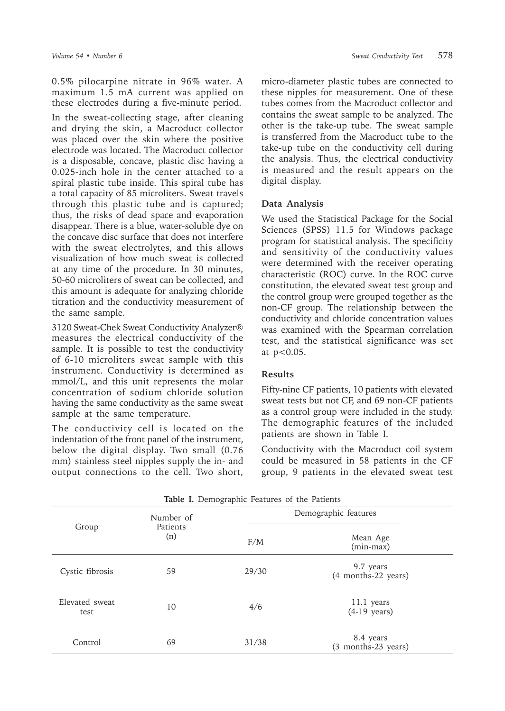0.5% pilocarpine nitrate in 96% water. A maximum 1.5 mA current was applied on these electrodes during a five-minute period.

In the sweat-collecting stage, after cleaning and drying the skin, a Macroduct collector was placed over the skin where the positive electrode was located. The Macroduct collector is a disposable, concave, plastic disc having a 0.025-inch hole in the center attached to a spiral plastic tube inside. This spiral tube has a total capacity of 85 microliters. Sweat travels through this plastic tube and is captured; thus, the risks of dead space and evaporation disappear. There is a blue, water-soluble dye on the concave disc surface that does not interfere with the sweat electrolytes, and this allows visualization of how much sweat is collected at any time of the procedure. In 30 minutes, 50-60 microliters of sweat can be collected, and this amount is adequate for analyzing chloride titration and the conductivity measurement of the same sample.

3120 Sweat-Chek Sweat Conductivity Analyzer® measures the electrical conductivity of the sample. It is possible to test the conductivity of 6-10 microliters sweat sample with this instrument. Conductivity is determined as mmol/L, and this unit represents the molar concentration of sodium chloride solution having the same conductivity as the same sweat sample at the same temperature.

The conductivity cell is located on the indentation of the front panel of the instrument, below the digital display. Two small (0.76 mm) stainless steel nipples supply the in- and output connections to the cell. Two short, micro-diameter plastic tubes are connected to these nipples for measurement. One of these tubes comes from the Macroduct collector and contains the sweat sample to be analyzed. The other is the take-up tube. The sweat sample is transferred from the Macroduct tube to the take-up tube on the conductivity cell during the analysis. Thus, the electrical conductivity is measured and the result appears on the digital display.

### **Data Analysis**

We used the Statistical Package for the Social Sciences (SPSS) 11.5 for Windows package program for statistical analysis. The specificity and sensitivity of the conductivity values were determined with the receiver operating characteristic (ROC) curve. In the ROC curve constitution, the elevated sweat test group and the control group were grouped together as the non-CF group. The relationship between the conductivity and chloride concentration values was examined with the Spearman correlation test, and the statistical significance was set at p<0.05.

### **Results**

Fifty-nine CF patients, 10 patients with elevated sweat tests but not CF, and 69 non-CF patients as a control group were included in the study. The demographic features of the included patients are shown in Table I.

Conductivity with the Macroduct coil system could be measured in 58 patients in the CF group, 9 patients in the elevated sweat test

| Group                  | Number of<br>Patients<br>(n) | Demographic features |                                      |  |
|------------------------|------------------------------|----------------------|--------------------------------------|--|
|                        |                              | F/M                  | Mean Age<br>$(min-max)$              |  |
| Cystic fibrosis        | 59                           | 29/30                | 9.7 years<br>(4 months-22 years)     |  |
| Elevated sweat<br>test | 10                           | 4/6                  | 11.1 years<br>$(4-19 \text{ years})$ |  |
| Control                | 69                           | 31/38                | 8.4 years<br>(3 months-23 years)     |  |

|  | Table I. Demographic Features of the Patients |  |  |
|--|-----------------------------------------------|--|--|
|  |                                               |  |  |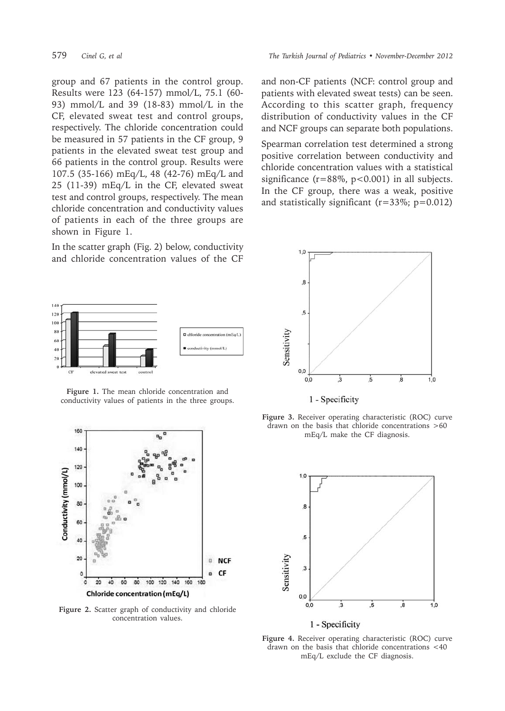group and 67 patients in the control group. Results were 123 (64-157) mmol/L, 75.1 (60- 93) mmol/L and 39 (18-83) mmol/L in the CF, elevated sweat test and control groups, respectively. The chloride concentration could be measured in 57 patients in the CF group, 9 patients in the elevated sweat test group and 66 patients in the control group. Results were 107.5 (35-166) mEq/L, 48 (42-76) mEq/L and 25 (11-39) mEq/L in the CF, elevated sweat test and control groups, respectively. The mean chloride concentration and conductivity values of patients in each of the three groups are shown in Figure 1.

In the scatter graph (Fig. 2) below, conductivity and chloride concentration values of the CF



**Figure 1.** The mean chloride concentration and conductivity values of patients in the three groups.



**Figure 2.** Scatter graph of conductivity and chloride concentration values.

and non-CF patients (NCF: control group and patients with elevated sweat tests) can be seen. According to this scatter graph, frequency distribution of conductivity values in the CF and NCF groups can separate both populations.

Spearman correlation test determined a strong positive correlation between conductivity and chloride concentration values with a statistical significance ( $r=88\%$ ,  $p<0.001$ ) in all subjects. In the CF group, there was a weak, positive and statistically significant ( $r=33\%$ ;  $p=0.012$ )



**Figure 3.** Receiver operating characteristic (ROC) curve drawn on the basis that chloride concentrations >60 mEq/L make the CF diagnosis.



**Figure 4.** Receiver operating characteristic (ROC) curve drawn on the basis that chloride concentrations <40 mEq/L exclude the CF diagnosis.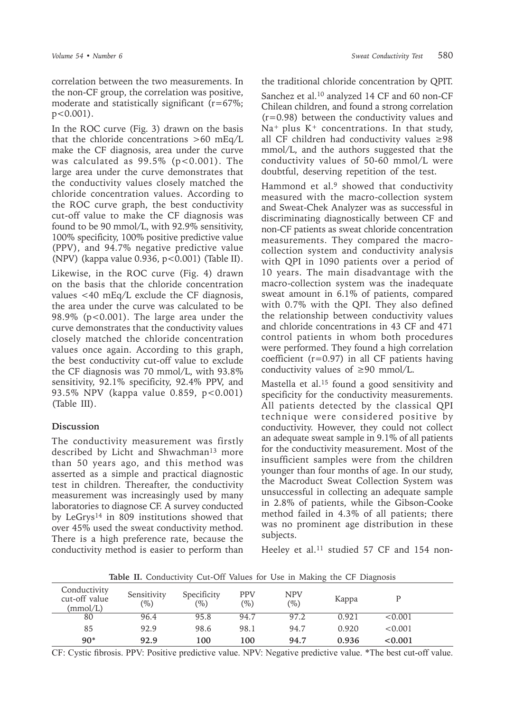correlation between the two measurements. In the non-CF group, the correlation was positive, moderate and statistically significant  $(r=67\%;$ p<0.001).

In the ROC curve (Fig. 3) drawn on the basis that the chloride concentrations  $>60$  mEq/L make the CF diagnosis, area under the curve was calculated as  $99.5\%$  ( $p < 0.001$ ). The large area under the curve demonstrates that the conductivity values closely matched the chloride concentration values. According to the ROC curve graph, the best conductivity cut-off value to make the CF diagnosis was found to be 90 mmol/L, with 92.9% sensitivity, 100% specificity, 100% positive predictive value (PPV), and 94.7% negative predictive value (NPV) (kappa value 0.936, p<0.001) (Table II).

Likewise, in the ROC curve (Fig. 4) drawn on the basis that the chloride concentration values <40 mEq/L exclude the CF diagnosis, the area under the curve was calculated to be 98.9% (p<0.001). The large area under the curve demonstrates that the conductivity values closely matched the chloride concentration values once again. According to this graph, the best conductivity cut-off value to exclude the CF diagnosis was 70 mmol/L, with 93.8% sensitivity, 92.1% specificity, 92.4% PPV, and 93.5% NPV (kappa value 0.859, p<0.001) (Table III).

# **Discussion**

The conductivity measurement was firstly described by Licht and Shwachman<sup>13</sup> more than 50 years ago, and this method was asserted as a simple and practical diagnostic test in children. Thereafter, the conductivity measurement was increasingly used by many laboratories to diagnose CF. A survey conducted by LeGrys<sup>14</sup> in 809 institutions showed that over 45% used the sweat conductivity method. There is a high preference rate, because the conductivity method is easier to perform than

the traditional chloride concentration by QPIT.

Sanchez et al.<sup>10</sup> analyzed 14 CF and 60 non-CF Chilean children, and found a strong correlation (r=0.98) between the conductivity values and  $Na<sup>+</sup>$  plus  $K<sup>+</sup>$  concentrations. In that study, all CF children had conductivity values  $\geq 98$ mmol/L, and the authors suggested that the conductivity values of 50-60 mmol/L were doubtful, deserving repetition of the test.

Hammond et al. $9$  showed that conductivity measured with the macro-collection system and Sweat-Chek Analyzer was as successful in discriminating diagnostically between CF and non-CF patients as sweat chloride concentration measurements. They compared the macrocollection system and conductivity analysis with QPI in 1090 patients over a period of 10 years. The main disadvantage with the macro-collection system was the inadequate sweat amount in 6.1% of patients, compared with 0.7% with the QPI. They also defined the relationship between conductivity values and chloride concentrations in 43 CF and 471 control patients in whom both procedures were performed. They found a high correlation coefficient (r=0.97) in all CF patients having conductivity values of ≥90 mmol/L.

Mastella et al.15 found a good sensitivity and specificity for the conductivity measurements. All patients detected by the classical QPI technique were considered positive by conductivity. However, they could not collect an adequate sweat sample in 9.1% of all patients for the conductivity measurement. Most of the insufficient samples were from the children younger than four months of age. In our study, the Macroduct Sweat Collection System was unsuccessful in collecting an adequate sample in 2.8% of patients, while the Gibson-Cooke method failed in 4.3% of all patients; there was no prominent age distribution in these subjects.

Heeley et al.<sup>11</sup> studied 57 CF and 154 non-

| <b>Reflective</b> to conductivity out on values for ose in making the or <i>Diagnosis</i> |                       |                       |                      |                      |       |         |  |
|-------------------------------------------------------------------------------------------|-----------------------|-----------------------|----------------------|----------------------|-------|---------|--|
| Conductivity<br>cut-off value<br>(mmol/L)                                                 | Sensitivity<br>$(\%)$ | Specificity<br>$(\%)$ | <b>PPV</b><br>$(\%)$ | <b>NPV</b><br>$(\%)$ | Kappa |         |  |
| 80                                                                                        | 96.4                  | 95.8                  | 94.7                 | 97.2                 | 0.921 | < 0.001 |  |
| 85                                                                                        | 92.9                  | 98.6                  | 98.1                 | 94.7                 | 0.920 | < 0.001 |  |
| $90*$                                                                                     | 92.9                  | 100                   | 100                  | 94.7                 | 0.936 | < 0.001 |  |

**Table II.** Conductivity Cut-Off Values for Use in Making the CF Diagnosis

CF: Cystic fibrosis. PPV: Positive predictive value. NPV: Negative predictive value. \*The best cut-off value.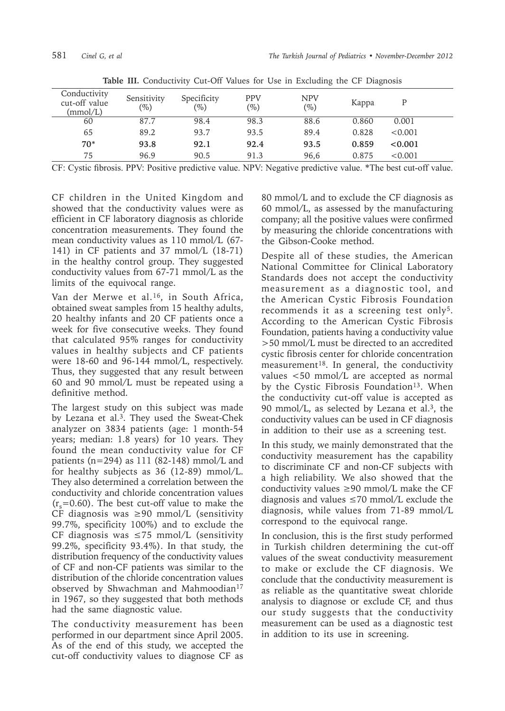| < 0.001<br>< 0.001<br>< 0.001 |
|-------------------------------|

**Table III.** Conductivity Cut-Off Values for Use in Excluding the CF Diagnosis

CF: Cystic fibrosis. PPV: Positive predictive value. NPV: Negative predictive value. \*The best cut-off value.

CF children in the United Kingdom and showed that the conductivity values were as efficient in CF laboratory diagnosis as chloride concentration measurements. They found the mean conductivity values as 110 mmol/L (67- 141) in CF patients and 37 mmol/L (18-71) in the healthy control group. They suggested conductivity values from 67-71 mmol/L as the limits of the equivocal range.

Van der Merwe et al.16, in South Africa, obtained sweat samples from 15 healthy adults, 20 healthy infants and 20 CF patients once a week for five consecutive weeks. They found that calculated 95% ranges for conductivity values in healthy subjects and CF patients were 18-60 and 96-144 mmol/L, respectively. Thus, they suggested that any result between 60 and 90 mmol/L must be repeated using a definitive method.

The largest study on this subject was made by Lezana et al.<sup>3</sup>. They used the Sweat-Chek analyzer on 3834 patients (age: 1 month-54 years; median: 1.8 years) for 10 years. They found the mean conductivity value for CF patients ( $n=294$ ) as 111 (82-148) mmol/L and for healthy subjects as 36 (12-89) mmol/L. They also determined a correlation between the conductivity and chloride concentration values  $(r<sub>s</sub>=0.60)$ . The best cut-off value to make the CF diagnosis was ≥90 mmol/L (sensitivity 99.7%, specificity 100%) and to exclude the CF diagnosis was  $\leq 75$  mmol/L (sensitivity 99.2%, specificity 93.4%). In that study, the distribution frequency of the conductivity values of CF and non-CF patients was similar to the distribution of the chloride concentration values observed by Shwachman and Mahmoodian<sup>17</sup> in 1967, so they suggested that both methods had the same diagnostic value.

The conductivity measurement has been performed in our department since April 2005. As of the end of this study, we accepted the cut-off conductivity values to diagnose CF as

80 mmol/L and to exclude the CF diagnosis as 60 mmol/L, as assessed by the manufacturing company; all the positive values were confirmed by measuring the chloride concentrations with the Gibson-Cooke method.

Despite all of these studies, the American National Committee for Clinical Laboratory Standards does not accept the conductivity measurement as a diagnostic tool, and the American Cystic Fibrosis Foundation recommends it as a screening test only<sup>5</sup>. According to the American Cystic Fibrosis Foundation, patients having a conductivity value >50 mmol/L must be directed to an accredited cystic fibrosis center for chloride concentration measurement<sup>18</sup>. In general, the conductivity values <50 mmol/L are accepted as normal by the Cystic Fibrosis Foundation<sup>13</sup>. When the conductivity cut-off value is accepted as 90 mmol/L, as selected by Lezana et al.3, the conductivity values can be used in CF diagnosis in addition to their use as a screening test.

In this study, we mainly demonstrated that the conductivity measurement has the capability to discriminate CF and non-CF subjects with a high reliability. We also showed that the conductivity values ≥90 mmol/L make the CF diagnosis and values  $\leq 70$  mmol/L exclude the diagnosis, while values from 71-89 mmol/L correspond to the equivocal range.

In conclusion, this is the first study performed in Turkish children determining the cut-off values of the sweat conductivity measurement to make or exclude the CF diagnosis. We conclude that the conductivity measurement is as reliable as the quantitative sweat chloride analysis to diagnose or exclude CF, and thus our study suggests that the conductivity measurement can be used as a diagnostic test in addition to its use in screening.